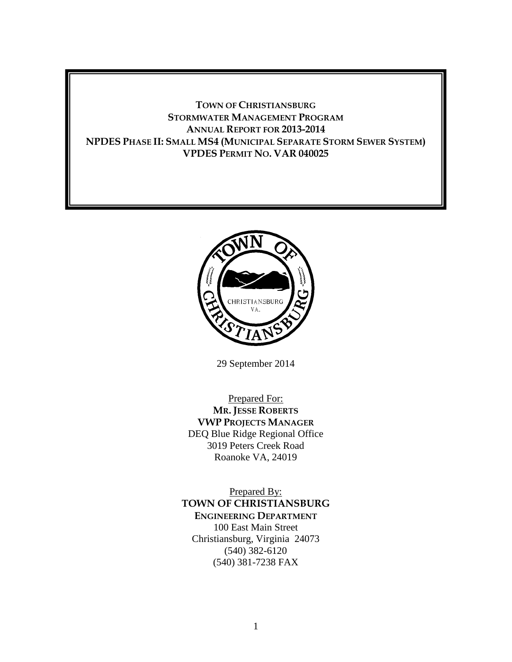# **TOWN OF CHRISTIANSBURG STORMWATER MANAGEMENT PROGRAM ANNUAL REPORT FOR 2013-2014 NPDES PHASE II: SMALL MS4 (MUNICIPAL SEPARATE STORM SEWER SYSTEM) VPDES PERMIT NO. VAR 040025**



29 September 2014

Prepared For: **MR. JESSE ROBERTS VWP PROJECTS MANAGER** DEQ Blue Ridge Regional Office 3019 Peters Creek Road Roanoke VA, 24019

Prepared By: **TOWN OF CHRISTIANSBURG ENGINEERING DEPARTMENT** 100 East Main Street Christiansburg, Virginia 24073 (540) 382-6120 (540) 381-7238 FAX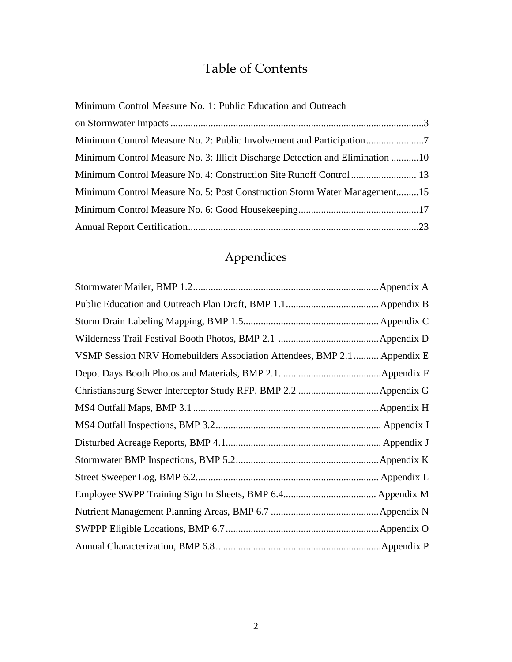# Table of Contents

| Minimum Control Measure No. 1: Public Education and Outreach                  |
|-------------------------------------------------------------------------------|
|                                                                               |
|                                                                               |
| Minimum Control Measure No. 3: Illicit Discharge Detection and Elimination 10 |
|                                                                               |
| Minimum Control Measure No. 5: Post Construction Storm Water Management15     |
|                                                                               |
|                                                                               |

# Appendices

|                                                                          | . Appendix C |
|--------------------------------------------------------------------------|--------------|
|                                                                          |              |
| VSMP Session NRV Homebuilders Association Attendees, BMP 2.1  Appendix E |              |
|                                                                          | .Appendix F  |
|                                                                          |              |
|                                                                          |              |
|                                                                          |              |
|                                                                          |              |
|                                                                          |              |
|                                                                          |              |
|                                                                          |              |
|                                                                          |              |
|                                                                          |              |
|                                                                          |              |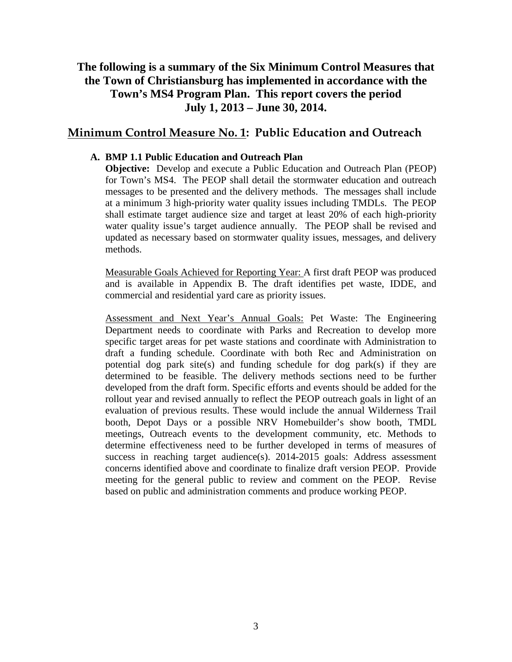# **The following is a summary of the Six Minimum Control Measures that the Town of Christiansburg has implemented in accordance with the Town's MS4 Program Plan. This report covers the period July 1, 2013 – June 30, 2014.**

# **Minimum Control Measure No. 1: Public Education and Outreach**

#### **A. BMP 1.1 Public Education and Outreach Plan**

**Objective:** Develop and execute a Public Education and Outreach Plan (PEOP) for Town's MS4. The PEOP shall detail the stormwater education and outreach messages to be presented and the delivery methods. The messages shall include at a minimum 3 high-priority water quality issues including TMDLs. The PEOP shall estimate target audience size and target at least 20% of each high-priority water quality issue's target audience annually. The PEOP shall be revised and updated as necessary based on stormwater quality issues, messages, and delivery methods.

Measurable Goals Achieved for Reporting Year: A first draft PEOP was produced and is available in Appendix B. The draft identifies pet waste, IDDE, and commercial and residential yard care as priority issues.

Assessment and Next Year's Annual Goals: Pet Waste: The Engineering Department needs to coordinate with Parks and Recreation to develop more specific target areas for pet waste stations and coordinate with Administration to draft a funding schedule. Coordinate with both Rec and Administration on potential dog park site(s) and funding schedule for dog park(s) if they are determined to be feasible. The delivery methods sections need to be further developed from the draft form. Specific efforts and events should be added for the rollout year and revised annually to reflect the PEOP outreach goals in light of an evaluation of previous results. These would include the annual Wilderness Trail booth, Depot Days or a possible NRV Homebuilder's show booth, TMDL meetings, Outreach events to the development community, etc. Methods to determine effectiveness need to be further developed in terms of measures of success in reaching target audience(s). 2014-2015 goals: Address assessment concerns identified above and coordinate to finalize draft version PEOP. Provide meeting for the general public to review and comment on the PEOP. Revise based on public and administration comments and produce working PEOP.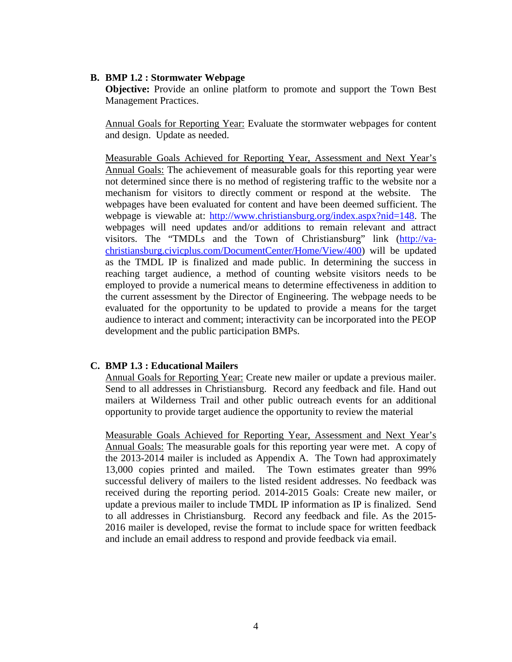#### **B. BMP 1.2 : Stormwater Webpage**

**Objective:** Provide an online platform to promote and support the Town Best Management Practices.

Annual Goals for Reporting Year: Evaluate the stormwater webpages for content and design. Update as needed.

Measurable Goals Achieved for Reporting Year, Assessment and Next Year's Annual Goals: The achievement of measurable goals for this reporting year were not determined since there is no method of registering traffic to the website nor a mechanism for visitors to directly comment or respond at the website. The webpages have been evaluated for content and have been deemed sufficient. The webpage is viewable at: http://www.christiansburg.org/index.aspx?nid=148. The webpages will need updates and/or additions to remain relevant and attract visitors. The "TMDLs and the Town of Christiansburg" link (http://vachristiansburg.civicplus.com/DocumentCenter/Home/View/400) will be updated as the TMDL IP is finalized and made public. In determining the success in reaching target audience, a method of counting website visitors needs to be employed to provide a numerical means to determine effectiveness in addition to the current assessment by the Director of Engineering. The webpage needs to be evaluated for the opportunity to be updated to provide a means for the target audience to interact and comment; interactivity can be incorporated into the PEOP development and the public participation BMPs.

#### **C. BMP 1.3 : Educational Mailers**

Annual Goals for Reporting Year: Create new mailer or update a previous mailer. Send to all addresses in Christiansburg. Record any feedback and file. Hand out mailers at Wilderness Trail and other public outreach events for an additional opportunity to provide target audience the opportunity to review the material

Measurable Goals Achieved for Reporting Year, Assessment and Next Year's Annual Goals: The measurable goals for this reporting year were met. A copy of the 2013-2014 mailer is included as Appendix A. The Town had approximately 13,000 copies printed and mailed. The Town estimates greater than 99% successful delivery of mailers to the listed resident addresses. No feedback was received during the reporting period. 2014-2015 Goals: Create new mailer, or update a previous mailer to include TMDL IP information as IP is finalized. Send to all addresses in Christiansburg. Record any feedback and file. As the 2015- 2016 mailer is developed, revise the format to include space for written feedback and include an email address to respond and provide feedback via email.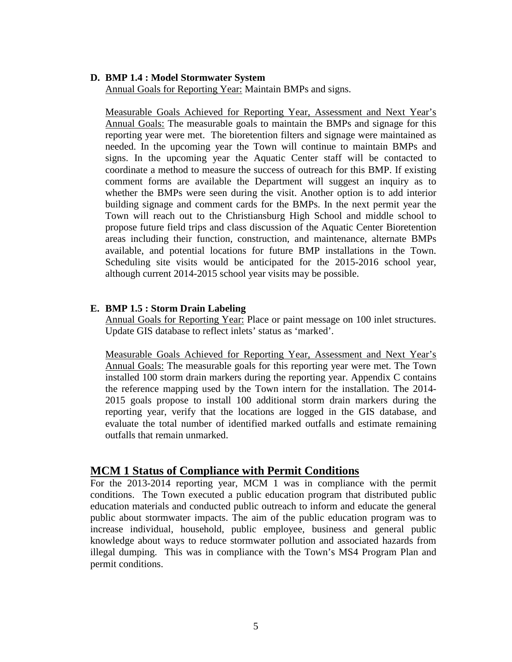#### **D. BMP 1.4 : Model Stormwater System**

Annual Goals for Reporting Year: Maintain BMPs and signs.

Measurable Goals Achieved for Reporting Year, Assessment and Next Year's Annual Goals: The measurable goals to maintain the BMPs and signage for this reporting year were met. The bioretention filters and signage were maintained as needed. In the upcoming year the Town will continue to maintain BMPs and signs. In the upcoming year the Aquatic Center staff will be contacted to coordinate a method to measure the success of outreach for this BMP. If existing comment forms are available the Department will suggest an inquiry as to whether the BMPs were seen during the visit. Another option is to add interior building signage and comment cards for the BMPs. In the next permit year the Town will reach out to the Christiansburg High School and middle school to propose future field trips and class discussion of the Aquatic Center Bioretention areas including their function, construction, and maintenance, alternate BMPs available, and potential locations for future BMP installations in the Town. Scheduling site visits would be anticipated for the 2015-2016 school year, although current 2014-2015 school year visits may be possible.

#### **E. BMP 1.5 : Storm Drain Labeling**

Annual Goals for Reporting Year: Place or paint message on 100 inlet structures. Update GIS database to reflect inlets' status as 'marked'.

Measurable Goals Achieved for Reporting Year, Assessment and Next Year's Annual Goals: The measurable goals for this reporting year were met. The Town installed 100 storm drain markers during the reporting year. Appendix C contains the reference mapping used by the Town intern for the installation. The 2014- 2015 goals propose to install 100 additional storm drain markers during the reporting year, verify that the locations are logged in the GIS database, and evaluate the total number of identified marked outfalls and estimate remaining outfalls that remain unmarked.

## **MCM 1 Status of Compliance with Permit Conditions**

For the 2013-2014 reporting year, MCM 1 was in compliance with the permit conditions. The Town executed a public education program that distributed public education materials and conducted public outreach to inform and educate the general public about stormwater impacts. The aim of the public education program was to increase individual, household, public employee, business and general public knowledge about ways to reduce stormwater pollution and associated hazards from illegal dumping. This was in compliance with the Town's MS4 Program Plan and permit conditions.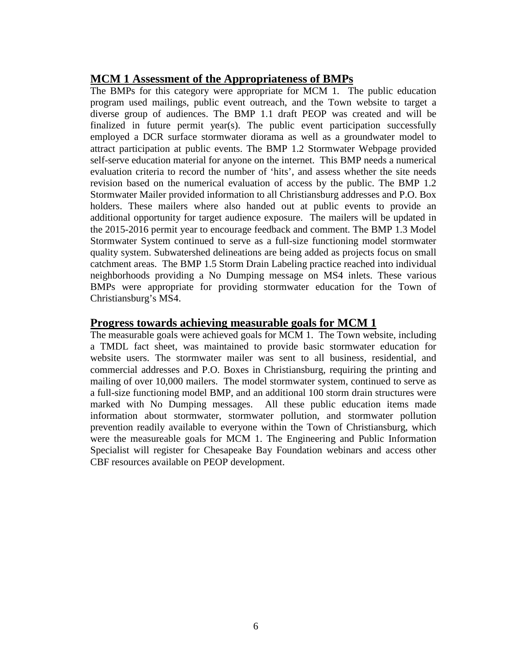# **MCM 1 Assessment of the Appropriateness of BMPs**

The BMPs for this category were appropriate for MCM 1. The public education program used mailings, public event outreach, and the Town website to target a diverse group of audiences. The BMP 1.1 draft PEOP was created and will be finalized in future permit year(s). The public event participation successfully employed a DCR surface stormwater diorama as well as a groundwater model to attract participation at public events. The BMP 1.2 Stormwater Webpage provided self-serve education material for anyone on the internet. This BMP needs a numerical evaluation criteria to record the number of 'hits', and assess whether the site needs revision based on the numerical evaluation of access by the public. The BMP 1.2 Stormwater Mailer provided information to all Christiansburg addresses and P.O. Box holders. These mailers where also handed out at public events to provide an additional opportunity for target audience exposure. The mailers will be updated in the 2015-2016 permit year to encourage feedback and comment. The BMP 1.3 Model Stormwater System continued to serve as a full-size functioning model stormwater quality system. Subwatershed delineations are being added as projects focus on small catchment areas. The BMP 1.5 Storm Drain Labeling practice reached into individual neighborhoods providing a No Dumping message on MS4 inlets. These various BMPs were appropriate for providing stormwater education for the Town of Christiansburg's MS4.

# **Progress towards achieving measurable goals for MCM 1**

The measurable goals were achieved goals for MCM 1. The Town website, including a TMDL fact sheet, was maintained to provide basic stormwater education for website users. The stormwater mailer was sent to all business, residential, and commercial addresses and P.O. Boxes in Christiansburg, requiring the printing and mailing of over 10,000 mailers. The model stormwater system, continued to serve as a full-size functioning model BMP, and an additional 100 storm drain structures were marked with No Dumping messages. All these public education items made information about stormwater, stormwater pollution, and stormwater pollution prevention readily available to everyone within the Town of Christiansburg, which were the measureable goals for MCM 1. The Engineering and Public Information Specialist will register for Chesapeake Bay Foundation webinars and access other CBF resources available on PEOP development.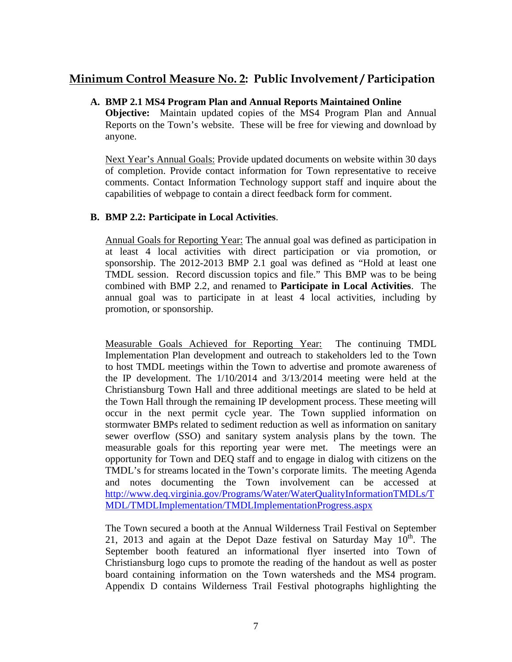# **Minimum Control Measure No. 2: Public Involvement / Participation**

#### **A. BMP 2.1 MS4 Program Plan and Annual Reports Maintained Online**

**Objective:** Maintain updated copies of the MS4 Program Plan and Annual Reports on the Town's website. These will be free for viewing and download by anyone.

Next Year's Annual Goals: Provide updated documents on website within 30 days of completion. Provide contact information for Town representative to receive comments. Contact Information Technology support staff and inquire about the capabilities of webpage to contain a direct feedback form for comment.

#### **B. BMP 2.2: Participate in Local Activities**.

Annual Goals for Reporting Year: The annual goal was defined as participation in at least 4 local activities with direct participation or via promotion, or sponsorship. The 2012-2013 BMP 2.1 goal was defined as "Hold at least one TMDL session. Record discussion topics and file." This BMP was to be being combined with BMP 2.2, and renamed to **Participate in Local Activities**. The annual goal was to participate in at least 4 local activities, including by promotion, or sponsorship.

Measurable Goals Achieved for Reporting Year: The continuing TMDL Implementation Plan development and outreach to stakeholders led to the Town to host TMDL meetings within the Town to advertise and promote awareness of the IP development. The 1/10/2014 and 3/13/2014 meeting were held at the Christiansburg Town Hall and three additional meetings are slated to be held at the Town Hall through the remaining IP development process. These meeting will occur in the next permit cycle year. The Town supplied information on stormwater BMPs related to sediment reduction as well as information on sanitary sewer overflow (SSO) and sanitary system analysis plans by the town. The measurable goals for this reporting year were met. The meetings were an opportunity for Town and DEQ staff and to engage in dialog with citizens on the TMDL's for streams located in the Town's corporate limits. The meeting Agenda and notes documenting the Town involvement can be accessed at http://www.deq.virginia.gov/Programs/Water/WaterQualityInformationTMDLs/T MDL/TMDLImplementation/TMDLImplementationProgress.aspx

The Town secured a booth at the Annual Wilderness Trail Festival on September 21, 2013 and again at the Depot Daze festival on Saturday May  $10^{th}$ . The September booth featured an informational flyer inserted into Town of Christiansburg logo cups to promote the reading of the handout as well as poster board containing information on the Town watersheds and the MS4 program. Appendix D contains Wilderness Trail Festival photographs highlighting the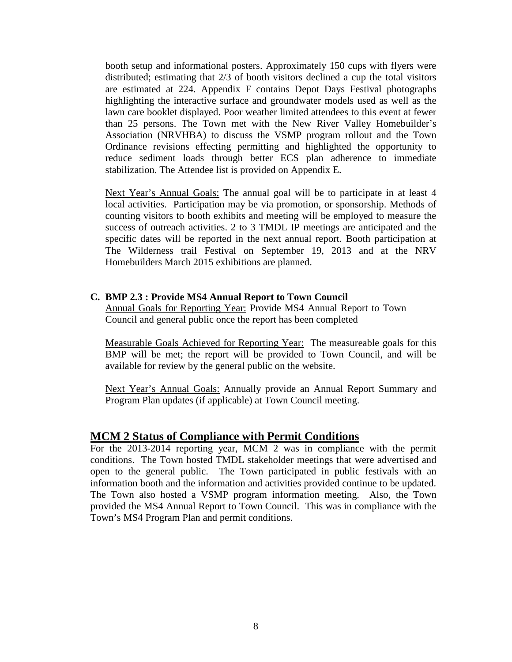booth setup and informational posters. Approximately 150 cups with flyers were distributed; estimating that 2/3 of booth visitors declined a cup the total visitors are estimated at 224. Appendix F contains Depot Days Festival photographs highlighting the interactive surface and groundwater models used as well as the lawn care booklet displayed. Poor weather limited attendees to this event at fewer than 25 persons. The Town met with the New River Valley Homebuilder's Association (NRVHBA) to discuss the VSMP program rollout and the Town Ordinance revisions effecting permitting and highlighted the opportunity to reduce sediment loads through better ECS plan adherence to immediate stabilization. The Attendee list is provided on Appendix E.

Next Year's Annual Goals: The annual goal will be to participate in at least 4 local activities. Participation may be via promotion, or sponsorship. Methods of counting visitors to booth exhibits and meeting will be employed to measure the success of outreach activities. 2 to 3 TMDL IP meetings are anticipated and the specific dates will be reported in the next annual report. Booth participation at The Wilderness trail Festival on September 19, 2013 and at the NRV Homebuilders March 2015 exhibitions are planned.

#### **C. BMP 2.3 : Provide MS4 Annual Report to Town Council**

Annual Goals for Reporting Year: Provide MS4 Annual Report to Town Council and general public once the report has been completed

Measurable Goals Achieved for Reporting Year: The measureable goals for this BMP will be met; the report will be provided to Town Council, and will be available for review by the general public on the website.

Next Year's Annual Goals: Annually provide an Annual Report Summary and Program Plan updates (if applicable) at Town Council meeting.

## **MCM 2 Status of Compliance with Permit Conditions**

For the 2013-2014 reporting year, MCM 2 was in compliance with the permit conditions. The Town hosted TMDL stakeholder meetings that were advertised and open to the general public. The Town participated in public festivals with an information booth and the information and activities provided continue to be updated. The Town also hosted a VSMP program information meeting. Also, the Town provided the MS4 Annual Report to Town Council. This was in compliance with the Town's MS4 Program Plan and permit conditions.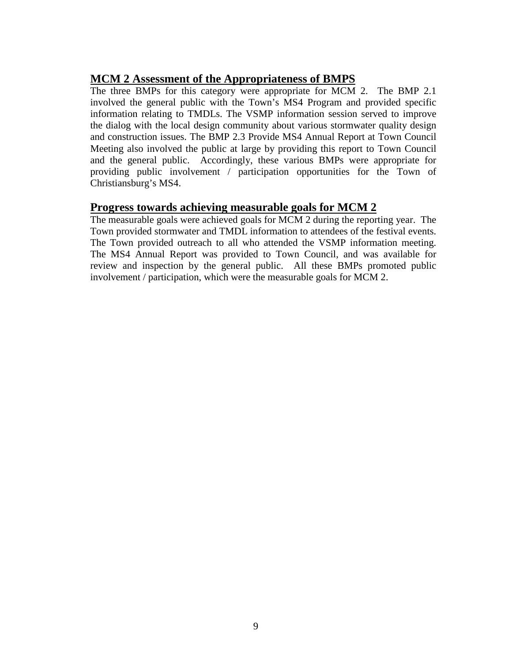# **MCM 2 Assessment of the Appropriateness of BMPS**

The three BMPs for this category were appropriate for MCM 2. The BMP 2.1 involved the general public with the Town's MS4 Program and provided specific information relating to TMDLs. The VSMP information session served to improve the dialog with the local design community about various stormwater quality design and construction issues. The BMP 2.3 Provide MS4 Annual Report at Town Council Meeting also involved the public at large by providing this report to Town Council and the general public. Accordingly, these various BMPs were appropriate for providing public involvement / participation opportunities for the Town of Christiansburg's MS4.

# **Progress towards achieving measurable goals for MCM 2**

The measurable goals were achieved goals for MCM 2 during the reporting year. The Town provided stormwater and TMDL information to attendees of the festival events. The Town provided outreach to all who attended the VSMP information meeting. The MS4 Annual Report was provided to Town Council, and was available for review and inspection by the general public. All these BMPs promoted public involvement / participation, which were the measurable goals for MCM 2.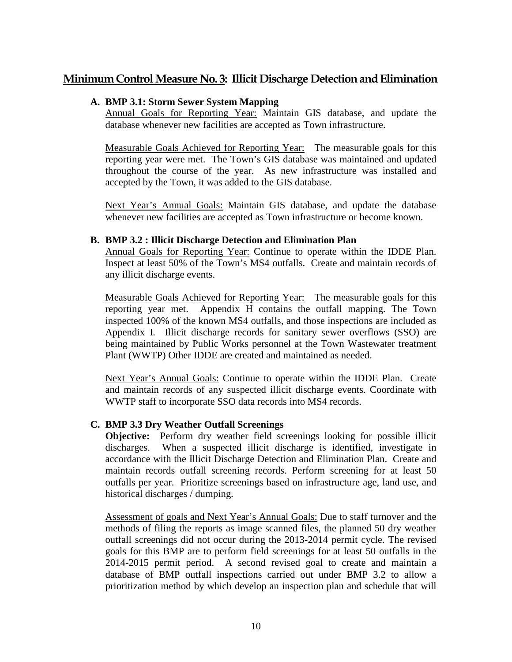# **Minimum Control Measure No. 3: Illicit Discharge Detection and Elimination**

#### **A. BMP 3.1: Storm Sewer System Mapping**

Annual Goals for Reporting Year: Maintain GIS database, and update the database whenever new facilities are accepted as Town infrastructure.

Measurable Goals Achieved for Reporting Year: The measurable goals for this reporting year were met. The Town's GIS database was maintained and updated throughout the course of the year. As new infrastructure was installed and accepted by the Town, it was added to the GIS database.

Next Year's Annual Goals: Maintain GIS database, and update the database whenever new facilities are accepted as Town infrastructure or become known.

#### **B. BMP 3.2 : Illicit Discharge Detection and Elimination Plan**

Annual Goals for Reporting Year: Continue to operate within the IDDE Plan. Inspect at least 50% of the Town's MS4 outfalls. Create and maintain records of any illicit discharge events.

Measurable Goals Achieved for Reporting Year: The measurable goals for this reporting year met. Appendix H contains the outfall mapping. The Town inspected 100% of the known MS4 outfalls, and those inspections are included as Appendix I. Illicit discharge records for sanitary sewer overflows (SSO) are being maintained by Public Works personnel at the Town Wastewater treatment Plant (WWTP) Other IDDE are created and maintained as needed.

Next Year's Annual Goals: Continue to operate within the IDDE Plan. Create and maintain records of any suspected illicit discharge events. Coordinate with WWTP staff to incorporate SSO data records into MS4 records.

## **C. BMP 3.3 Dry Weather Outfall Screenings**

**Objective:** Perform dry weather field screenings looking for possible illicit discharges. When a suspected illicit discharge is identified, investigate in accordance with the Illicit Discharge Detection and Elimination Plan. Create and maintain records outfall screening records. Perform screening for at least 50 outfalls per year. Prioritize screenings based on infrastructure age, land use, and historical discharges / dumping.

Assessment of goals and Next Year's Annual Goals: Due to staff turnover and the methods of filing the reports as image scanned files, the planned 50 dry weather outfall screenings did not occur during the 2013-2014 permit cycle. The revised goals for this BMP are to perform field screenings for at least 50 outfalls in the 2014-2015 permit period. A second revised goal to create and maintain a database of BMP outfall inspections carried out under BMP 3.2 to allow a prioritization method by which develop an inspection plan and schedule that will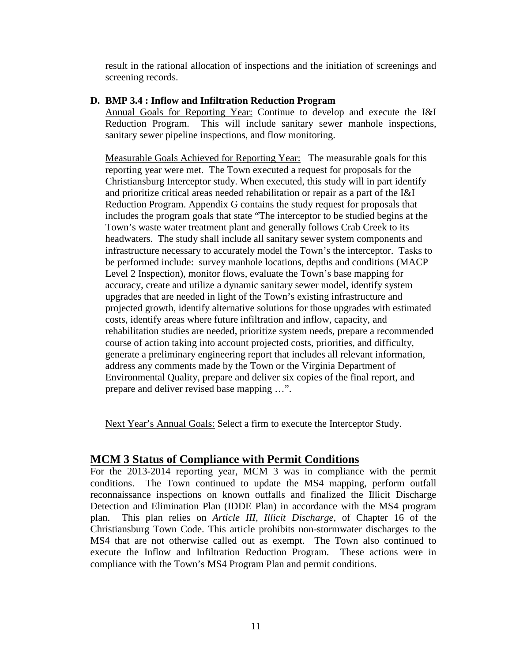result in the rational allocation of inspections and the initiation of screenings and screening records.

#### **D. BMP 3.4 : Inflow and Infiltration Reduction Program**

Annual Goals for Reporting Year: Continue to develop and execute the I&I Reduction Program. This will include sanitary sewer manhole inspections, sanitary sewer pipeline inspections, and flow monitoring.

Measurable Goals Achieved for Reporting Year: The measurable goals for this reporting year were met. The Town executed a request for proposals for the Christiansburg Interceptor study. When executed, this study will in part identify and prioritize critical areas needed rehabilitation or repair as a part of the I&I Reduction Program. Appendix G contains the study request for proposals that includes the program goals that state "The interceptor to be studied begins at the Town's waste water treatment plant and generally follows Crab Creek to its headwaters. The study shall include all sanitary sewer system components and infrastructure necessary to accurately model the Town's the interceptor. Tasks to be performed include: survey manhole locations, depths and conditions (MACP Level 2 Inspection), monitor flows, evaluate the Town's base mapping for accuracy, create and utilize a dynamic sanitary sewer model, identify system upgrades that are needed in light of the Town's existing infrastructure and projected growth, identify alternative solutions for those upgrades with estimated costs, identify areas where future infiltration and inflow, capacity, and rehabilitation studies are needed, prioritize system needs, prepare a recommended course of action taking into account projected costs, priorities, and difficulty, generate a preliminary engineering report that includes all relevant information, address any comments made by the Town or the Virginia Department of Environmental Quality, prepare and deliver six copies of the final report, and prepare and deliver revised base mapping …".

Next Year's Annual Goals: Select a firm to execute the Interceptor Study.

# **MCM 3 Status of Compliance with Permit Conditions**

For the 2013-2014 reporting year, MCM 3 was in compliance with the permit conditions. The Town continued to update the MS4 mapping, perform outfall reconnaissance inspections on known outfalls and finalized the Illicit Discharge Detection and Elimination Plan (IDDE Plan) in accordance with the MS4 program plan. This plan relies on *Article III, Illicit Discharge,* of Chapter 16 of the Christiansburg Town Code. This article prohibits non-stormwater discharges to the MS4 that are not otherwise called out as exempt. The Town also continued to execute the Inflow and Infiltration Reduction Program. These actions were in compliance with the Town's MS4 Program Plan and permit conditions.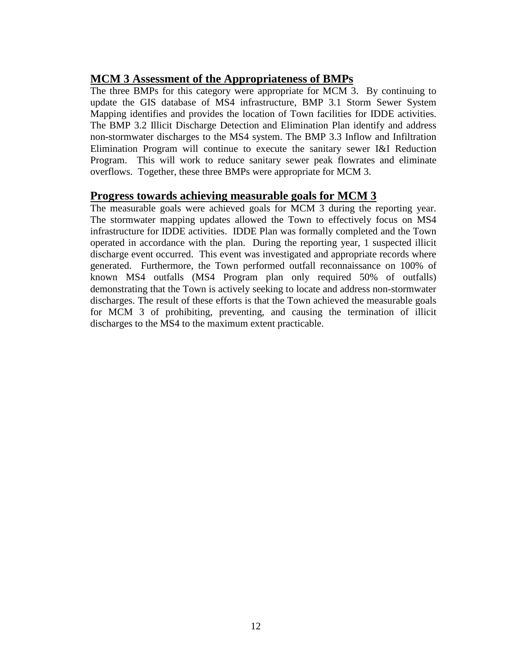# **MCM 3 Assessment of the Appropriateness of BMPs**

The three BMPs for this category were appropriate for MCM 3. By continuing to update the GIS database of MS4 infrastructure, BMP 3.1 Storm Sewer System Mapping identifies and provides the location of Town facilities for IDDE activities. The BMP 3.2 Illicit Discharge Detection and Elimination Plan identify and address non-stormwater discharges to the MS4 system. The BMP 3.3 Inflow and Infiltration Elimination Program will continue to execute the sanitary sewer I&I Reduction Program. This will work to reduce sanitary sewer peak flowrates and eliminate overflows. Together, these three BMPs were appropriate for MCM 3.

# **Progress towards achieving measurable goals for MCM 3**

The measurable goals were achieved goals for MCM 3 during the reporting year. The stormwater mapping updates allowed the Town to effectively focus on MS4 infrastructure for IDDE activities. IDDE Plan was formally completed and the Town operated in accordance with the plan. During the reporting year, 1 suspected illicit discharge event occurred. This event was investigated and appropriate records where generated. Furthermore, the Town performed outfall reconnaissance on 100% of known MS4 outfalls (MS4 Program plan only required 50% of outfalls) demonstrating that the Town is actively seeking to locate and address non-stormwater discharges. The result of these efforts is that the Town achieved the measurable goals for MCM 3 of prohibiting, preventing, and causing the termination of illicit discharges to the MS4 to the maximum extent practicable.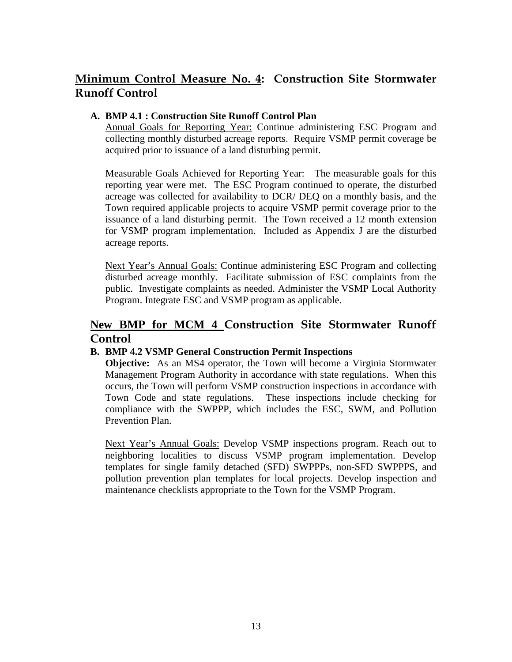# **Minimum Control Measure No. 4: Construction Site Stormwater Runoff Control**

## **A. BMP 4.1 : Construction Site Runoff Control Plan**

Annual Goals for Reporting Year: Continue administering ESC Program and collecting monthly disturbed acreage reports. Require VSMP permit coverage be acquired prior to issuance of a land disturbing permit.

Measurable Goals Achieved for Reporting Year: The measurable goals for this reporting year were met. The ESC Program continued to operate, the disturbed acreage was collected for availability to DCR/ DEQ on a monthly basis, and the Town required applicable projects to acquire VSMP permit coverage prior to the issuance of a land disturbing permit. The Town received a 12 month extension for VSMP program implementation. Included as Appendix J are the disturbed acreage reports.

Next Year's Annual Goals: Continue administering ESC Program and collecting disturbed acreage monthly. Facilitate submission of ESC complaints from the public. Investigate complaints as needed. Administer the VSMP Local Authority Program. Integrate ESC and VSMP program as applicable.

# **New BMP for MCM 4 Construction Site Stormwater Runoff Control**

## **B. BMP 4.2 VSMP General Construction Permit Inspections**

**Objective:** As an MS4 operator, the Town will become a Virginia Stormwater Management Program Authority in accordance with state regulations. When this occurs, the Town will perform VSMP construction inspections in accordance with Town Code and state regulations. These inspections include checking for compliance with the SWPPP, which includes the ESC, SWM, and Pollution Prevention Plan.

Next Year's Annual Goals: Develop VSMP inspections program. Reach out to neighboring localities to discuss VSMP program implementation. Develop templates for single family detached (SFD) SWPPPs, non-SFD SWPPPS, and pollution prevention plan templates for local projects. Develop inspection and maintenance checklists appropriate to the Town for the VSMP Program.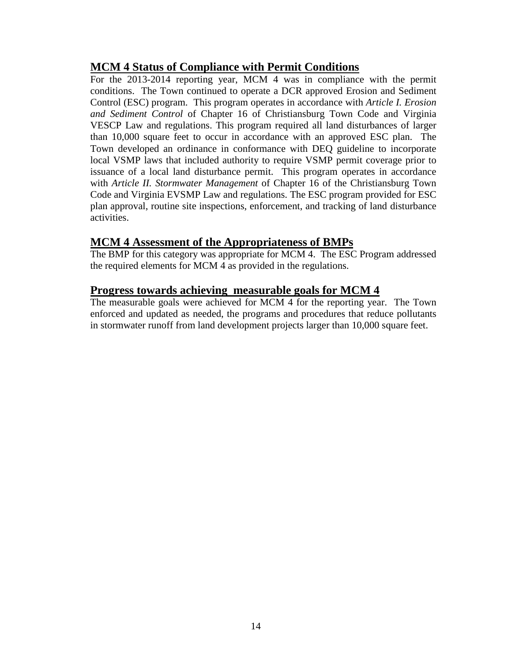# **MCM 4 Status of Compliance with Permit Conditions**

For the 2013-2014 reporting year, MCM 4 was in compliance with the permit conditions. The Town continued to operate a DCR approved Erosion and Sediment Control (ESC) program. This program operates in accordance with *Article I. Erosion and Sediment Control* of Chapter 16 of Christiansburg Town Code and Virginia VESCP Law and regulations. This program required all land disturbances of larger than 10,000 square feet to occur in accordance with an approved ESC plan. The Town developed an ordinance in conformance with DEQ guideline to incorporate local VSMP laws that included authority to require VSMP permit coverage prior to issuance of a local land disturbance permit. This program operates in accordance with *Article II. Stormwater Management* of Chapter 16 of the Christiansburg Town Code and Virginia EVSMP Law and regulations. The ESC program provided for ESC plan approval, routine site inspections, enforcement, and tracking of land disturbance activities.

# **MCM 4 Assessment of the Appropriateness of BMPs**

The BMP for this category was appropriate for MCM 4. The ESC Program addressed the required elements for MCM 4 as provided in the regulations.

# **Progress towards achieving measurable goals for MCM 4**

The measurable goals were achieved for MCM 4 for the reporting year. The Town enforced and updated as needed, the programs and procedures that reduce pollutants in stormwater runoff from land development projects larger than 10,000 square feet.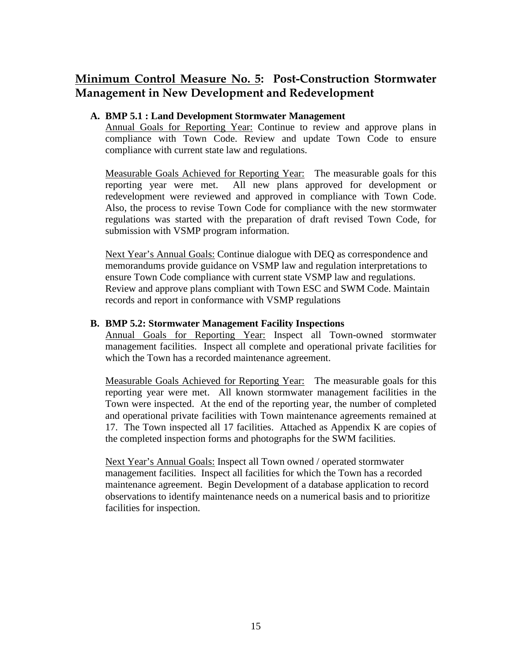# **Minimum Control Measure No. 5: Post-Construction Stormwater Management in New Development and Redevelopment**

#### **A. BMP 5.1 : Land Development Stormwater Management**

Annual Goals for Reporting Year: Continue to review and approve plans in compliance with Town Code. Review and update Town Code to ensure compliance with current state law and regulations.

Measurable Goals Achieved for Reporting Year: The measurable goals for this reporting year were met. All new plans approved for development or redevelopment were reviewed and approved in compliance with Town Code. Also, the process to revise Town Code for compliance with the new stormwater regulations was started with the preparation of draft revised Town Code, for submission with VSMP program information.

Next Year's Annual Goals: Continue dialogue with DEQ as correspondence and memorandums provide guidance on VSMP law and regulation interpretations to ensure Town Code compliance with current state VSMP law and regulations. Review and approve plans compliant with Town ESC and SWM Code. Maintain records and report in conformance with VSMP regulations

#### **B. BMP 5.2: Stormwater Management Facility Inspections**

Annual Goals for Reporting Year: Inspect all Town-owned stormwater management facilities. Inspect all complete and operational private facilities for which the Town has a recorded maintenance agreement.

Measurable Goals Achieved for Reporting Year: The measurable goals for this reporting year were met. All known stormwater management facilities in the Town were inspected. At the end of the reporting year, the number of completed and operational private facilities with Town maintenance agreements remained at 17. The Town inspected all 17 facilities. Attached as Appendix K are copies of the completed inspection forms and photographs for the SWM facilities.

Next Year's Annual Goals: Inspect all Town owned / operated stormwater management facilities. Inspect all facilities for which the Town has a recorded maintenance agreement. Begin Development of a database application to record observations to identify maintenance needs on a numerical basis and to prioritize facilities for inspection.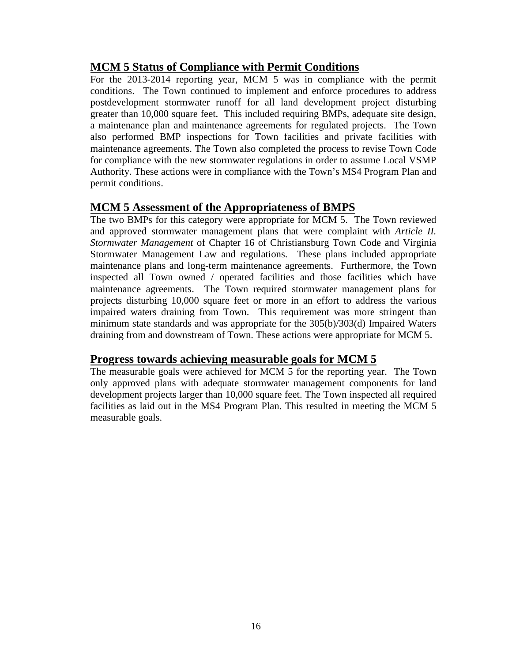# **MCM 5 Status of Compliance with Permit Conditions**

For the 2013-2014 reporting year, MCM 5 was in compliance with the permit conditions. The Town continued to implement and enforce procedures to address postdevelopment stormwater runoff for all land development project disturbing greater than 10,000 square feet. This included requiring BMPs, adequate site design, a maintenance plan and maintenance agreements for regulated projects. The Town also performed BMP inspections for Town facilities and private facilities with maintenance agreements. The Town also completed the process to revise Town Code for compliance with the new stormwater regulations in order to assume Local VSMP Authority. These actions were in compliance with the Town's MS4 Program Plan and permit conditions.

# **MCM 5 Assessment of the Appropriateness of BMPS**

The two BMPs for this category were appropriate for MCM 5. The Town reviewed and approved stormwater management plans that were complaint with *Article II. Stormwater Management* of Chapter 16 of Christiansburg Town Code and Virginia Stormwater Management Law and regulations. These plans included appropriate maintenance plans and long-term maintenance agreements. Furthermore, the Town inspected all Town owned / operated facilities and those facilities which have maintenance agreements. The Town required stormwater management plans for projects disturbing 10,000 square feet or more in an effort to address the various impaired waters draining from Town. This requirement was more stringent than minimum state standards and was appropriate for the 305(b)/303(d) Impaired Waters draining from and downstream of Town. These actions were appropriate for MCM 5.

# **Progress towards achieving measurable goals for MCM 5**

The measurable goals were achieved for MCM 5 for the reporting year. The Town only approved plans with adequate stormwater management components for land development projects larger than 10,000 square feet. The Town inspected all required facilities as laid out in the MS4 Program Plan. This resulted in meeting the MCM 5 measurable goals.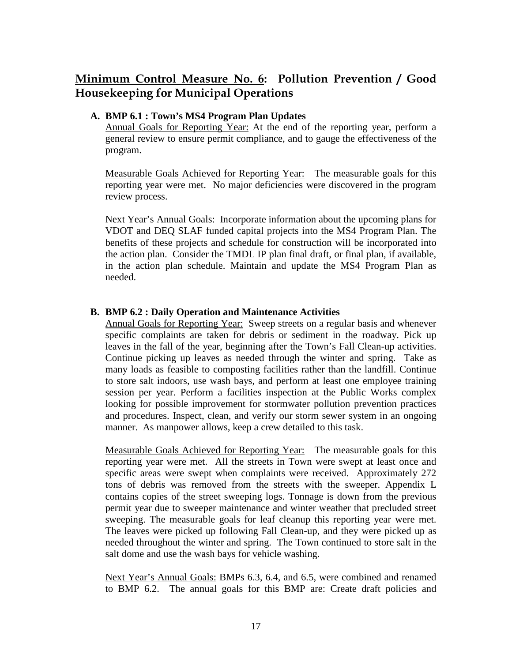# **Minimum Control Measure No. 6: Pollution Prevention / Good Housekeeping for Municipal Operations**

#### **A. BMP 6.1 : Town's MS4 Program Plan Updates**

Annual Goals for Reporting Year: At the end of the reporting year, perform a general review to ensure permit compliance, and to gauge the effectiveness of the program.

Measurable Goals Achieved for Reporting Year: The measurable goals for this reporting year were met. No major deficiencies were discovered in the program review process.

Next Year's Annual Goals: Incorporate information about the upcoming plans for VDOT and DEQ SLAF funded capital projects into the MS4 Program Plan. The benefits of these projects and schedule for construction will be incorporated into the action plan. Consider the TMDL IP plan final draft, or final plan, if available, in the action plan schedule. Maintain and update the MS4 Program Plan as needed.

## **B. BMP 6.2 : Daily Operation and Maintenance Activities**

Annual Goals for Reporting Year: Sweep streets on a regular basis and whenever specific complaints are taken for debris or sediment in the roadway. Pick up leaves in the fall of the year, beginning after the Town's Fall Clean-up activities. Continue picking up leaves as needed through the winter and spring. Take as many loads as feasible to composting facilities rather than the landfill. Continue to store salt indoors, use wash bays, and perform at least one employee training session per year. Perform a facilities inspection at the Public Works complex looking for possible improvement for stormwater pollution prevention practices and procedures. Inspect, clean, and verify our storm sewer system in an ongoing manner. As manpower allows, keep a crew detailed to this task.

Measurable Goals Achieved for Reporting Year: The measurable goals for this reporting year were met. All the streets in Town were swept at least once and specific areas were swept when complaints were received. Approximately 272 tons of debris was removed from the streets with the sweeper. Appendix L contains copies of the street sweeping logs. Tonnage is down from the previous permit year due to sweeper maintenance and winter weather that precluded street sweeping. The measurable goals for leaf cleanup this reporting year were met. The leaves were picked up following Fall Clean-up, and they were picked up as needed throughout the winter and spring. The Town continued to store salt in the salt dome and use the wash bays for vehicle washing.

Next Year's Annual Goals: BMPs 6.3, 6.4, and 6.5, were combined and renamed to BMP 6.2.The annual goals for this BMP are: Create draft policies and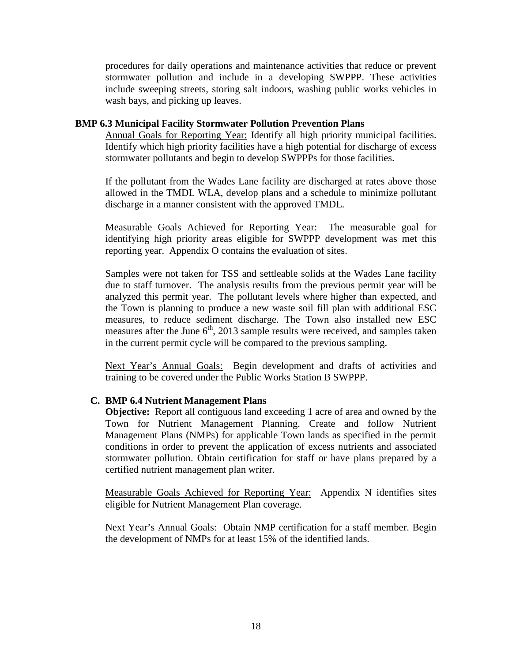procedures for daily operations and maintenance activities that reduce or prevent stormwater pollution and include in a developing SWPPP. These activities include sweeping streets, storing salt indoors, washing public works vehicles in wash bays, and picking up leaves.

#### **BMP 6.3 Municipal Facility Stormwater Pollution Prevention Plans**

Annual Goals for Reporting Year: Identify all high priority municipal facilities. Identify which high priority facilities have a high potential for discharge of excess stormwater pollutants and begin to develop SWPPPs for those facilities.

If the pollutant from the Wades Lane facility are discharged at rates above those allowed in the TMDL WLA, develop plans and a schedule to minimize pollutant discharge in a manner consistent with the approved TMDL.

Measurable Goals Achieved for Reporting Year: The measurable goal for identifying high priority areas eligible for SWPPP development was met this reporting year. Appendix O contains the evaluation of sites.

Samples were not taken for TSS and settleable solids at the Wades Lane facility due to staff turnover. The analysis results from the previous permit year will be analyzed this permit year. The pollutant levels where higher than expected, and the Town is planning to produce a new waste soil fill plan with additional ESC measures, to reduce sediment discharge. The Town also installed new ESC measures after the June  $6<sup>th</sup>$ , 2013 sample results were received, and samples taken in the current permit cycle will be compared to the previous sampling.

Next Year's Annual Goals: Begin development and drafts of activities and training to be covered under the Public Works Station B SWPPP.

#### **C. BMP 6.4 Nutrient Management Plans**

**Objective:** Report all contiguous land exceeding 1 acre of area and owned by the Town for Nutrient Management Planning. Create and follow Nutrient Management Plans (NMPs) for applicable Town lands as specified in the permit conditions in order to prevent the application of excess nutrients and associated stormwater pollution. Obtain certification for staff or have plans prepared by a certified nutrient management plan writer.

Measurable Goals Achieved for Reporting Year: Appendix N identifies sites eligible for Nutrient Management Plan coverage.

Next Year's Annual Goals: Obtain NMP certification for a staff member. Begin the development of NMPs for at least 15% of the identified lands.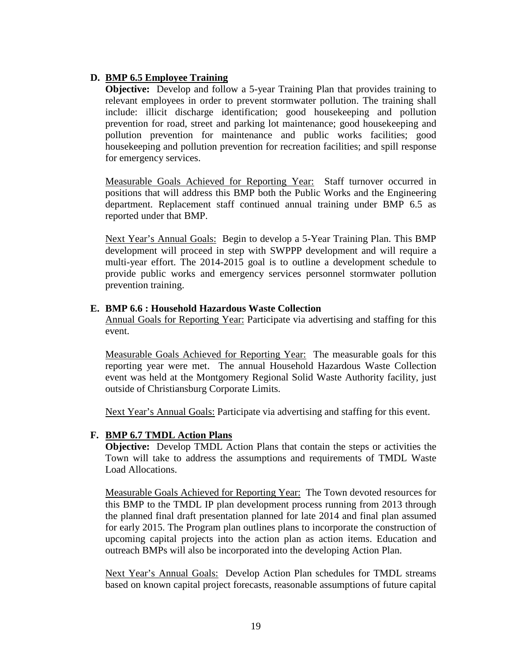## **D. BMP 6.5 Employee Training**

**Objective:** Develop and follow a 5-year Training Plan that provides training to relevant employees in order to prevent stormwater pollution. The training shall include: illicit discharge identification; good housekeeping and pollution prevention for road, street and parking lot maintenance; good housekeeping and pollution prevention for maintenance and public works facilities; good housekeeping and pollution prevention for recreation facilities; and spill response for emergency services.

Measurable Goals Achieved for Reporting Year: Staff turnover occurred in positions that will address this BMP both the Public Works and the Engineering department. Replacement staff continued annual training under BMP 6.5 as reported under that BMP.

Next Year's Annual Goals: Begin to develop a 5-Year Training Plan. This BMP development will proceed in step with SWPPP development and will require a multi-year effort. The 2014-2015 goal is to outline a development schedule to provide public works and emergency services personnel stormwater pollution prevention training.

#### **E. BMP 6.6 : Household Hazardous Waste Collection**

Annual Goals for Reporting Year: Participate via advertising and staffing for this event.

Measurable Goals Achieved for Reporting Year: The measurable goals for this reporting year were met. The annual Household Hazardous Waste Collection event was held at the Montgomery Regional Solid Waste Authority facility, just outside of Christiansburg Corporate Limits.

Next Year's Annual Goals: Participate via advertising and staffing for this event.

#### **F. BMP 6.7 TMDL Action Plans**

**Objective:** Develop TMDL Action Plans that contain the steps or activities the Town will take to address the assumptions and requirements of TMDL Waste Load Allocations.

Measurable Goals Achieved for Reporting Year: The Town devoted resources for this BMP to the TMDL IP plan development process running from 2013 through the planned final draft presentation planned for late 2014 and final plan assumed for early 2015. The Program plan outlines plans to incorporate the construction of upcoming capital projects into the action plan as action items. Education and outreach BMPs will also be incorporated into the developing Action Plan.

Next Year's Annual Goals: Develop Action Plan schedules for TMDL streams based on known capital project forecasts, reasonable assumptions of future capital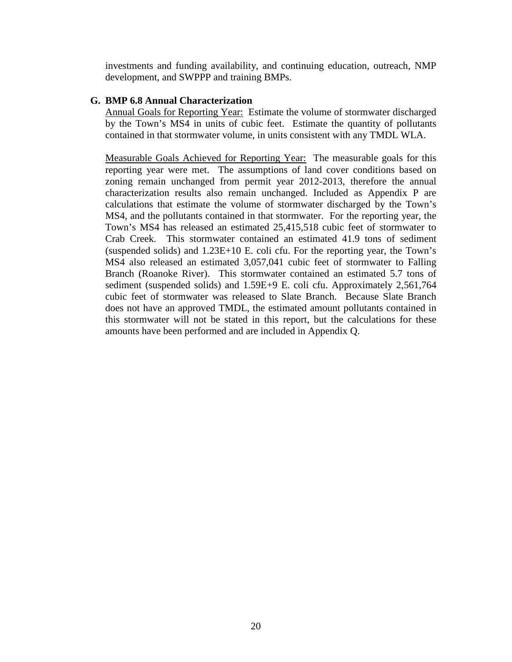investments and funding availability, and continuing education, outreach, NMP development, and SWPPP and training BMPs.

#### **G. BMP 6.8 Annual Characterization**

Annual Goals for Reporting Year: Estimate the volume of stormwater discharged by the Town's MS4 in units of cubic feet. Estimate the quantity of pollutants contained in that stormwater volume, in units consistent with any TMDL WLA.

Measurable Goals Achieved for Reporting Year: The measurable goals for this reporting year were met. The assumptions of land cover conditions based on zoning remain unchanged from permit year 2012-2013, therefore the annual characterization results also remain unchanged. Included as Appendix P are calculations that estimate the volume of stormwater discharged by the Town's MS4, and the pollutants contained in that stormwater. For the reporting year, the Town's MS4 has released an estimated 25,415,518 cubic feet of stormwater to Crab Creek. This stormwater contained an estimated 41.9 tons of sediment (suspended solids) and 1.23E+10 E. coli cfu. For the reporting year, the Town's MS4 also released an estimated 3,057,041 cubic feet of stormwater to Falling Branch (Roanoke River). This stormwater contained an estimated 5.7 tons of sediment (suspended solids) and 1.59E+9 E. coli cfu. Approximately 2,561,764 cubic feet of stormwater was released to Slate Branch. Because Slate Branch does not have an approved TMDL, the estimated amount pollutants contained in this stormwater will not be stated in this report, but the calculations for these amounts have been performed and are included in Appendix Q.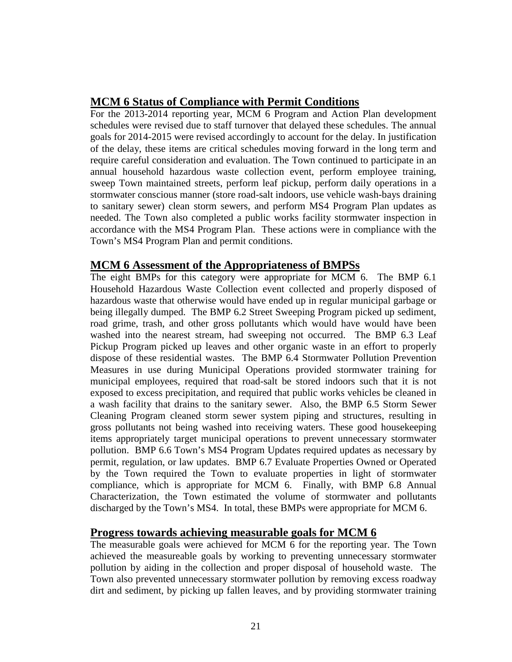# **MCM 6 Status of Compliance with Permit Conditions**

For the 2013-2014 reporting year, MCM 6 Program and Action Plan development schedules were revised due to staff turnover that delayed these schedules. The annual goals for 2014-2015 were revised accordingly to account for the delay. In justification of the delay, these items are critical schedules moving forward in the long term and require careful consideration and evaluation. The Town continued to participate in an annual household hazardous waste collection event, perform employee training, sweep Town maintained streets, perform leaf pickup, perform daily operations in a stormwater conscious manner (store road-salt indoors, use vehicle wash-bays draining to sanitary sewer) clean storm sewers, and perform MS4 Program Plan updates as needed. The Town also completed a public works facility stormwater inspection in accordance with the MS4 Program Plan. These actions were in compliance with the Town's MS4 Program Plan and permit conditions.

# **MCM 6 Assessment of the Appropriateness of BMPSs**

The eight BMPs for this category were appropriate for MCM 6. The BMP 6.1 Household Hazardous Waste Collection event collected and properly disposed of hazardous waste that otherwise would have ended up in regular municipal garbage or being illegally dumped. The BMP 6.2 Street Sweeping Program picked up sediment, road grime, trash, and other gross pollutants which would have would have been washed into the nearest stream, had sweeping not occurred. The BMP 6.3 Leaf Pickup Program picked up leaves and other organic waste in an effort to properly dispose of these residential wastes. The BMP 6.4 Stormwater Pollution Prevention Measures in use during Municipal Operations provided stormwater training for municipal employees, required that road-salt be stored indoors such that it is not exposed to excess precipitation, and required that public works vehicles be cleaned in a wash facility that drains to the sanitary sewer. Also, the BMP 6.5 Storm Sewer Cleaning Program cleaned storm sewer system piping and structures, resulting in gross pollutants not being washed into receiving waters. These good housekeeping items appropriately target municipal operations to prevent unnecessary stormwater pollution. BMP 6.6 Town's MS4 Program Updates required updates as necessary by permit, regulation, or law updates. BMP 6.7 Evaluate Properties Owned or Operated by the Town required the Town to evaluate properties in light of stormwater compliance, which is appropriate for MCM 6. Finally, with BMP 6.8 Annual Characterization, the Town estimated the volume of stormwater and pollutants discharged by the Town's MS4. In total, these BMPs were appropriate for MCM 6.

# **Progress towards achieving measurable goals for MCM 6**

The measurable goals were achieved for MCM 6 for the reporting year. The Town achieved the measureable goals by working to preventing unnecessary stormwater pollution by aiding in the collection and proper disposal of household waste. The Town also prevented unnecessary stormwater pollution by removing excess roadway dirt and sediment, by picking up fallen leaves, and by providing stormwater training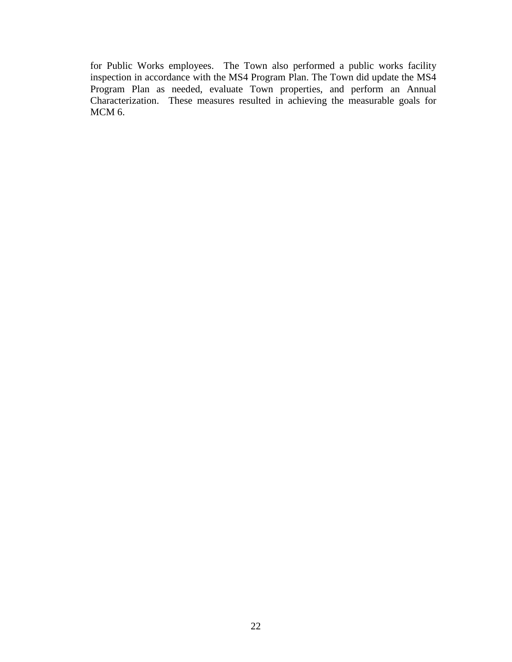for Public Works employees. The Town also performed a public works facility inspection in accordance with the MS4 Program Plan. The Town did update the MS4 Program Plan as needed, evaluate Town properties, and perform an Annual Characterization. These measures resulted in achieving the measurable goals for MCM 6.